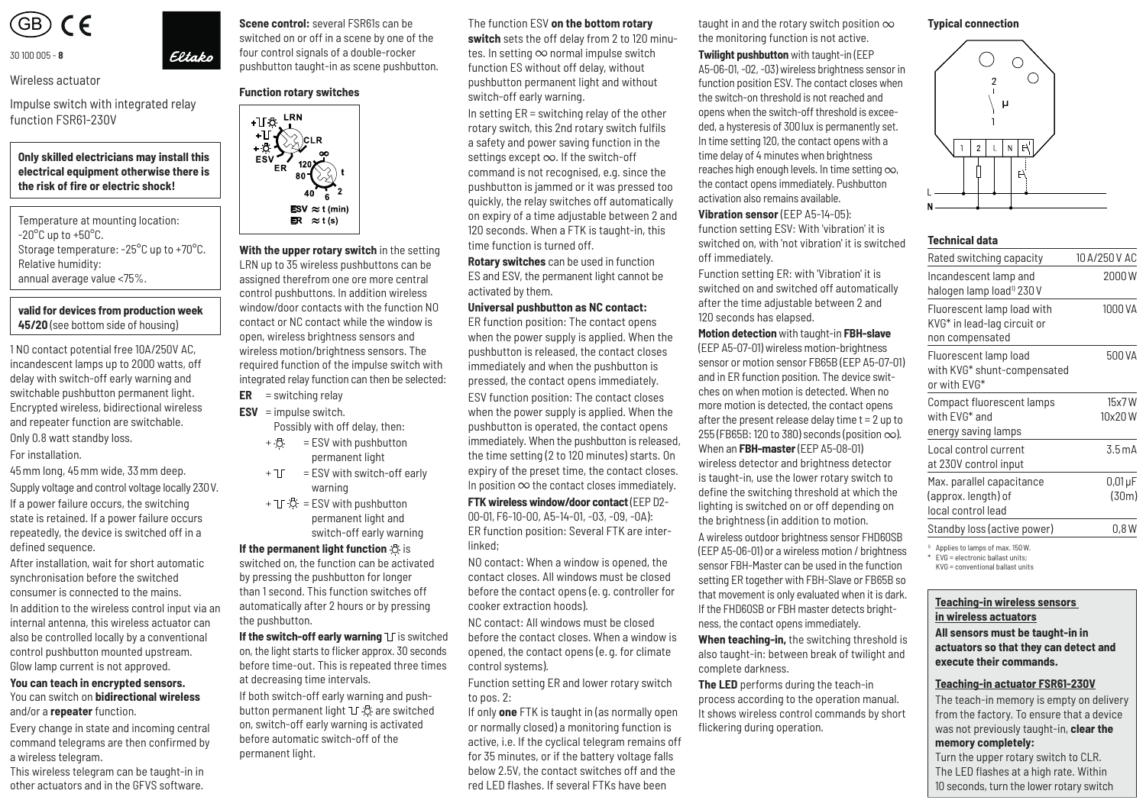

30 100 005 - **8**

Wireless actuator

Impulse switch with integrated relay function FSR61-230V

Eltako

### **Only skilled electricians may install this electrical equipment otherwise there is the risk of fire or electric shock!**

Temperature at mounting location:  $-20^{\circ}$ C up to  $+50^{\circ}$ C. Storage temperature: -25°C up to +70°C. Relative humidity: annual average value <75%.

#### **valid for devices from production week 45/20** (see bottom side of housing)

1 NO contact potential free 10A/250V AC, incandescent lamps up to 2000 watts, off delay with switch-off early warning and switchable pushbutton permanent light. Encrypted wireless, bidirectional wireless and repeater function are switchable. Only 0.8 watt standby loss.

## For installation.

45 mm long, 45 mm wide, 33 mm deep. Supply voltage and control voltage locally 230 V. If a power failure occurs, the switching state is retained. If a power failure occurs repeatedly, the device is switched off in a defined sequence.

After installation, wait for short automatic synchronisation before the switched consumer is connected to the mains. In addition to the wireless control input via an internal antenna, this wireless actuator can also be controlled locally by a conventional control pushbutton mounted upstream. Glow lamp current is not approved.

#### **You can teach in encrypted sensors.**  You can switch on **bidirectional wireless**  and/or a **repeater** function.

Every change in state and incoming central command telegrams are then confirmed by a wireless telegram.

This wireless telegram can be taught-in in other actuators and in the GFVS software.

**Scene control:** several FSR61s can be switched on or off in a scene by one of the four control signals of a double-rocker pushbutton taught-in as scene pushbutton.

#### **Function rotary switches**



**With the upper rotary switch** in the setting LRN up to 35 wireless pushbuttons can be assigned therefrom one ore more central control pushbuttons. In addition wireless window/door contacts with the function NO contact or NC contact while the window is open, wireless brightness sensors and wireless motion/brightness sensors. The required function of the impulse switch with integrated relay function can then be selected:

- **ER** = switching relay
- **ESV** = impulse switch. Possibly with off delay, then:
	- $+ 0$  = ESV with pushbutton permanent light
	- $+1$  = ESV with switch-off early warning
	- $+1\text{L} \cdot \mathcal{B}_1 =$  ESV with pushbutton permanent light and switch-off early warning

#### **If the permanent light function**  $\delta$  is

 switched on, the function can be activated by pressing the pushbutton for longer than 1 second. This function switches off auto matically after 2 hours or by pressing the pushbutton.

If the switch-off early warning **If** is switched on, the light starts to flicker approx. 30 seconds before time-out. This is repeated three times at decreasing time intervals.

If both switch-off early warning and pushbutton permanent light  $\mathbb{U} \cdot \mathbb{S}$  are switched on, switch-off early warning is activated before automatic switch-off of the permanent light.

## The function ESV **on the bottom rotary**

**switch** sets the off delay from 2 to 120 minutes. In setting  $\infty$  normal impulse switch function ES without off delay, without pushbutton permanent light and without switch-off early warning.

In setting ER = switching relay of the other rotary switch, this 2nd rotary switch fulfils a safety and power saving function in the settings except  $\infty.$  If the switch-off command is not recognised, e.g. since the pushbutton is jammed or it was pressed too quickly, the relay switches off automatically on expiry of a time adjustable between 2 and 120 seconds. When a FTK is taught-in, this time function is turned off.

**Rotary switches** can be used in function ES and ESV, the permanent light cannot be activated by them.

#### **Universal pushbutton as NC contact:**

ER function position: The contact opens when the power supply is applied. When the pushbutton is released, the contact closes immediately and when the pushbutton is pressed, the contact opens immediately. ESV function position: The contact closes when the power supply is applied. When the pushbutton is operated, the contact opens immediately. When the pushbutton is released, the time setting (2 to 120 minutes) starts. On expiry of the preset time, the contact closes. In position  $\infty$  the contact closes immediately.

**FTK wireless window/door contact** (EEP D2- 00-01, F6-10-00, A5-14-01, -03, -09, -0A): ER function position: Several FTK are interlinked;

NO contact: When a window is opened, the contact closes. All windows must be closed before the contact opens (e. g. controller for cooker extraction hoods).

NC contact: All windows must be closed before the contact closes. When a window is opened, the contact opens (e. g. for climate control systems).

Function setting ER and lower rotary switch to pos. 2:

If only **one** FTK is taught in (as normally open or normally closed) a monitoring function is active, i.e. If the cyclical telegram remains off for 35 minutes, or if the battery voltage falls below 2.5V, the contact switches off and the red LED flashes. If several FTKs have been

taught in and the rotary switch position  $\infty$ the monitoring function is not active.

**Twilight pushbutton** with taught-in (EEP A5-06-01, -02, -03) wireless brightness sensor in function position ESV. The contact closes when the switch-on threshold is not reached and opens when the switch-off threshold is exceeded, a hysteresis of 300 lux is permanently set. In time setting 120, the contact opens with a time delay of 4 minutes when brightness reaches high enough levels. In time setting  $\infty$ , the contact opens immediately. Pushbutton activation also remains available.

**Vibration sensor** (EEP A5-14-05): function setting ESV: With 'vibration' it is switched on, with 'not vibration' it is switched off immediately.

Function setting ER: with 'Vibration' it is switched on and switched off automatically after the time adjustable between 2 and 120 seconds has elapsed.

**Motion detection** with taught-in **FBH-slave**  (EEP A5-07-01) wireless motion-brightness sensor or motion sensor FB65B (EEP A5-07-01) and in ER function position. The device switches on when motion is detected. When no more motion is detected, the contact opens after the present release delay time  $t = 2$  up to 255 (FB65B: 120 to 380) seconds (position  $\infty$ ). When an **FBH-master** (EEP A5-08-01) wireless detector and brightness detector is taught-in, use the lower rotary switch to define the switching threshold at which the lighting is switched on or off depending on the brightness (in addition to motion. A wireless outdoor brightness sensor FHD60SB (EEP A5-06-01) or a wireless motion / brightness sensor FBH-Master can be used in the function setting ER together with FBH-Slave or FB65B so that movement is only evaluated when it is dark. If the FHD60SB or FBH master detects brightness, the contact opens immediately.

**When teaching-in,** the switching threshold is also taught-in: between break of twilight and complete darkness.

**The LED** performs during the teach-in process according to the operation manual. It shows wireless control commands by short flickering during operation.





#### **Technical data**

| Rated switching capacity                                                     | 10 A/250 V AC   |
|------------------------------------------------------------------------------|-----------------|
| Incandescent lamp and<br>halogen lamp load <sup>1)</sup> 230 V               | 2000W           |
| Fluorescent lamp load with<br>KVG* in lead-lag circuit or<br>non compensated | 1000 VA         |
| Fluorescent lamp load<br>with KVG* shunt-compensated<br>or with EVG*         | 500 VA          |
| Compact fluorescent lamps<br>with FVG* and<br>energy saving lamps            | 15x7W<br>10x20W |
| Local control current<br>at 230V control input                               | $3.5m$ A        |
| Max. parallel capacitance<br>(approx. length) of<br>local control lead       | 0,01µF<br>(30m) |
| Standby loss (active power)<br>Applies to lamps of max. 150W.                | 0.8W            |

 $\bar{F}VG =$  electronic ballast units

 $KVR =$  conventional hallast units

## **Teaching-in wireless sensors in wireless actuators**

**All sensors must be taught-in in actuators so that they can detect and execute their commands.**

# **Teaching-in actuator FSR61-230V**

The teach-in memory is empty on delivery from the factory. To ensure that a device was not previously taught-in, **clear the memory completely:** 

Turn the upper rotary switch to CLR. The LED flashes at a high rate. Within 10 seconds, turn the lower rotary switch the time that the time the time the time that  $\mathcal{L}_\mathbf{t}$